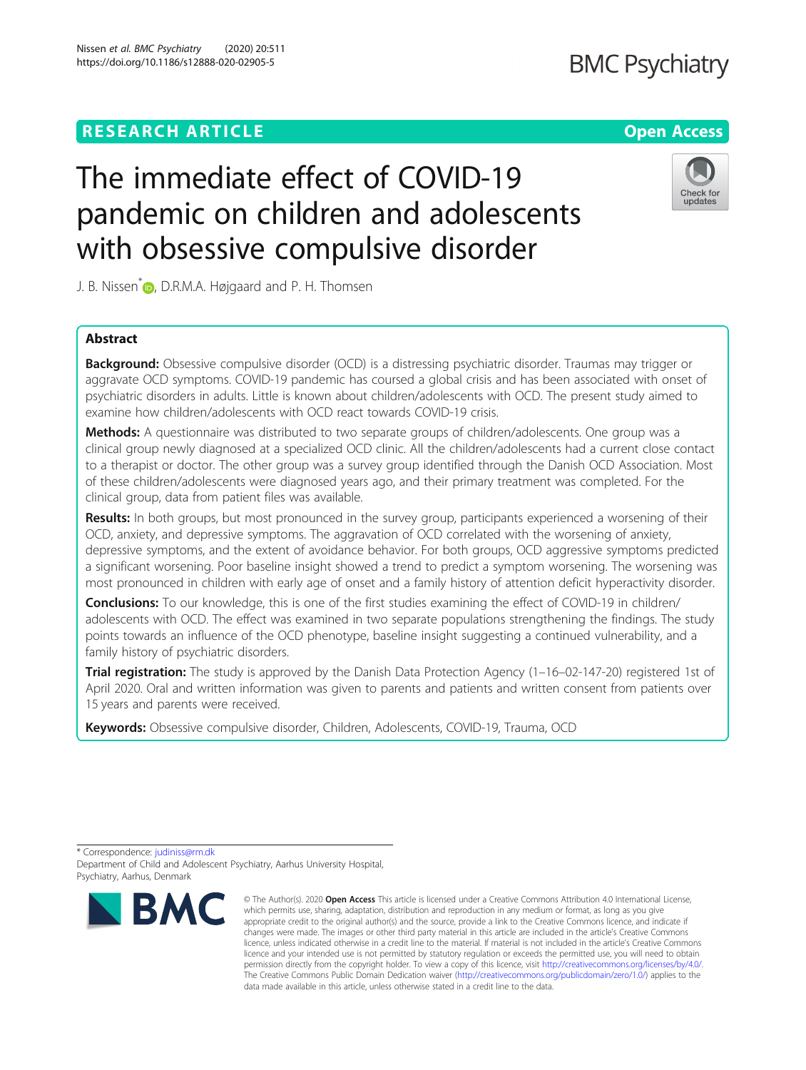## **RESEARCH ARTICLE Example 2018 12:30 THE OPEN ACCESS**

# The immediate effect of COVID-19 pandemic on children and adolescents with obsessive compulsive disorder

J. B. Nissen<sup>[\\*](http://orcid.org/0000-0003-4063-6866)</sup> <sub>D</sub>, D.R.M.A. Højgaard and P. H. Thomsen

## Abstract

**Background:** Obsessive compulsive disorder (OCD) is a distressing psychiatric disorder. Traumas may trigger or aggravate OCD symptoms. COVID-19 pandemic has coursed a global crisis and has been associated with onset of psychiatric disorders in adults. Little is known about children/adolescents with OCD. The present study aimed to examine how children/adolescents with OCD react towards COVID-19 crisis.

Methods: A questionnaire was distributed to two separate groups of children/adolescents. One group was a clinical group newly diagnosed at a specialized OCD clinic. All the children/adolescents had a current close contact to a therapist or doctor. The other group was a survey group identified through the Danish OCD Association. Most of these children/adolescents were diagnosed years ago, and their primary treatment was completed. For the clinical group, data from patient files was available.

Results: In both groups, but most pronounced in the survey group, participants experienced a worsening of their OCD, anxiety, and depressive symptoms. The aggravation of OCD correlated with the worsening of anxiety, depressive symptoms, and the extent of avoidance behavior. For both groups, OCD aggressive symptoms predicted a significant worsening. Poor baseline insight showed a trend to predict a symptom worsening. The worsening was most pronounced in children with early age of onset and a family history of attention deficit hyperactivity disorder.

**Conclusions:** To our knowledge, this is one of the first studies examining the effect of COVID-19 in children/ adolescents with OCD. The effect was examined in two separate populations strengthening the findings. The study points towards an influence of the OCD phenotype, baseline insight suggesting a continued vulnerability, and a family history of psychiatric disorders.

Trial registration: The study is approved by the Danish Data Protection Agency (1-16-02-147-20) registered 1st of April 2020. Oral and written information was given to parents and patients and written consent from patients over 15 years and parents were received.

Keywords: Obsessive compulsive disorder, Children, Adolescents, COVID-19, Trauma, OCD

\* Correspondence: [judiniss@rm.dk](mailto:judiniss@rm.dk)

Department of Child and Adolescent Psychiatry, Aarhus University Hospital,







**BMC Psychiatry** 

© The Author(s), 2020 **Open Access** This article is licensed under a Creative Commons Attribution 4.0 International License, which permits use, sharing, adaptation, distribution and reproduction in any medium or format, as long as you give appropriate credit to the original author(s) and the source, provide a link to the Creative Commons licence, and indicate if changes were made. The images or other third party material in this article are included in the article's Creative Commons licence, unless indicated otherwise in a credit line to the material. If material is not included in the article's Creative Commons licence and your intended use is not permitted by statutory regulation or exceeds the permitted use, you will need to obtain permission directly from the copyright holder. To view a copy of this licence, visit [http://creativecommons.org/licenses/by/4.0/.](http://creativecommons.org/licenses/by/4.0/) The Creative Commons Public Domain Dedication waiver [\(http://creativecommons.org/publicdomain/zero/1.0/](http://creativecommons.org/publicdomain/zero/1.0/)) applies to the data made available in this article, unless otherwise stated in a credit line to the data.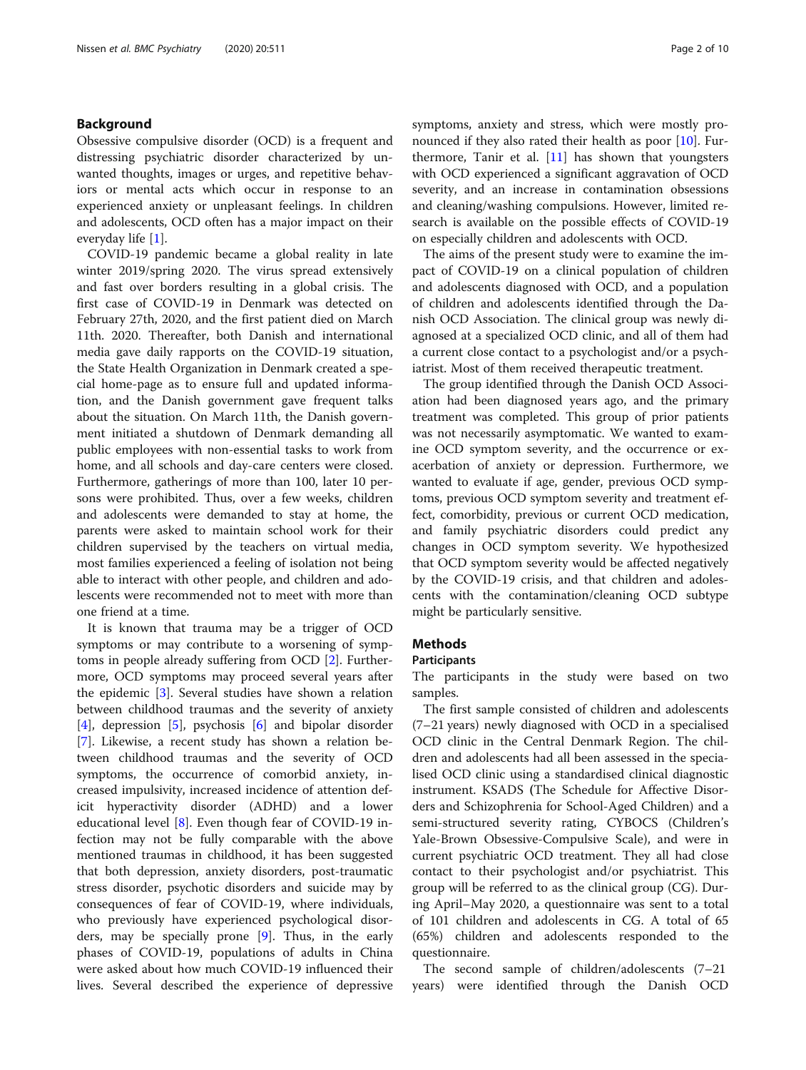## Background

Obsessive compulsive disorder (OCD) is a frequent and distressing psychiatric disorder characterized by unwanted thoughts, images or urges, and repetitive behaviors or mental acts which occur in response to an experienced anxiety or unpleasant feelings. In children and adolescents, OCD often has a major impact on their everyday life [\[1](#page-9-0)].

COVID-19 pandemic became a global reality in late winter 2019/spring 2020. The virus spread extensively and fast over borders resulting in a global crisis. The first case of COVID-19 in Denmark was detected on February 27th, 2020, and the first patient died on March 11th. 2020. Thereafter, both Danish and international media gave daily rapports on the COVID-19 situation, the State Health Organization in Denmark created a special home-page as to ensure full and updated information, and the Danish government gave frequent talks about the situation. On March 11th, the Danish government initiated a shutdown of Denmark demanding all public employees with non-essential tasks to work from home, and all schools and day-care centers were closed. Furthermore, gatherings of more than 100, later 10 persons were prohibited. Thus, over a few weeks, children and adolescents were demanded to stay at home, the parents were asked to maintain school work for their children supervised by the teachers on virtual media, most families experienced a feeling of isolation not being able to interact with other people, and children and adolescents were recommended not to meet with more than one friend at a time.

It is known that trauma may be a trigger of OCD symptoms or may contribute to a worsening of symptoms in people already suffering from OCD [[2\]](#page-9-0). Furthermore, OCD symptoms may proceed several years after the epidemic [[3\]](#page-9-0). Several studies have shown a relation between childhood traumas and the severity of anxiety [[4\]](#page-9-0), depression [\[5](#page-9-0)], psychosis [\[6](#page-9-0)] and bipolar disorder [[7\]](#page-9-0). Likewise, a recent study has shown a relation between childhood traumas and the severity of OCD symptoms, the occurrence of comorbid anxiety, increased impulsivity, increased incidence of attention deficit hyperactivity disorder (ADHD) and a lower educational level  $[8]$  $[8]$ . Even though fear of COVID-19 infection may not be fully comparable with the above mentioned traumas in childhood, it has been suggested that both depression, anxiety disorders, post-traumatic stress disorder, psychotic disorders and suicide may by consequences of fear of COVID-19, where individuals, who previously have experienced psychological disorders, may be specially prone [\[9](#page-9-0)]. Thus, in the early phases of COVID-19, populations of adults in China were asked about how much COVID-19 influenced their lives. Several described the experience of depressive symptoms, anxiety and stress, which were mostly pronounced if they also rated their health as poor [[10](#page-9-0)]. Furthermore, Tanir et al.  $[11]$  $[11]$  $[11]$  has shown that youngsters with OCD experienced a significant aggravation of OCD severity, and an increase in contamination obsessions and cleaning/washing compulsions. However, limited research is available on the possible effects of COVID-19 on especially children and adolescents with OCD.

The aims of the present study were to examine the impact of COVID-19 on a clinical population of children and adolescents diagnosed with OCD, and a population of children and adolescents identified through the Danish OCD Association. The clinical group was newly diagnosed at a specialized OCD clinic, and all of them had a current close contact to a psychologist and/or a psychiatrist. Most of them received therapeutic treatment.

The group identified through the Danish OCD Association had been diagnosed years ago, and the primary treatment was completed. This group of prior patients was not necessarily asymptomatic. We wanted to examine OCD symptom severity, and the occurrence or exacerbation of anxiety or depression. Furthermore, we wanted to evaluate if age, gender, previous OCD symptoms, previous OCD symptom severity and treatment effect, comorbidity, previous or current OCD medication, and family psychiatric disorders could predict any changes in OCD symptom severity. We hypothesized that OCD symptom severity would be affected negatively by the COVID-19 crisis, and that children and adolescents with the contamination/cleaning OCD subtype might be particularly sensitive.

#### Methods

#### **Participants**

The participants in the study were based on two samples.

The first sample consisted of children and adolescents (7–21 years) newly diagnosed with OCD in a specialised OCD clinic in the Central Denmark Region. The children and adolescents had all been assessed in the specialised OCD clinic using a standardised clinical diagnostic instrument. KSADS (The Schedule for Affective Disorders and Schizophrenia for School-Aged Children) and a semi-structured severity rating, CYBOCS (Children's Yale-Brown Obsessive-Compulsive Scale), and were in current psychiatric OCD treatment. They all had close contact to their psychologist and/or psychiatrist. This group will be referred to as the clinical group (CG). During April–May 2020, a questionnaire was sent to a total of 101 children and adolescents in CG. A total of 65 (65%) children and adolescents responded to the questionnaire.

The second sample of children/adolescents (7–21 years) were identified through the Danish OCD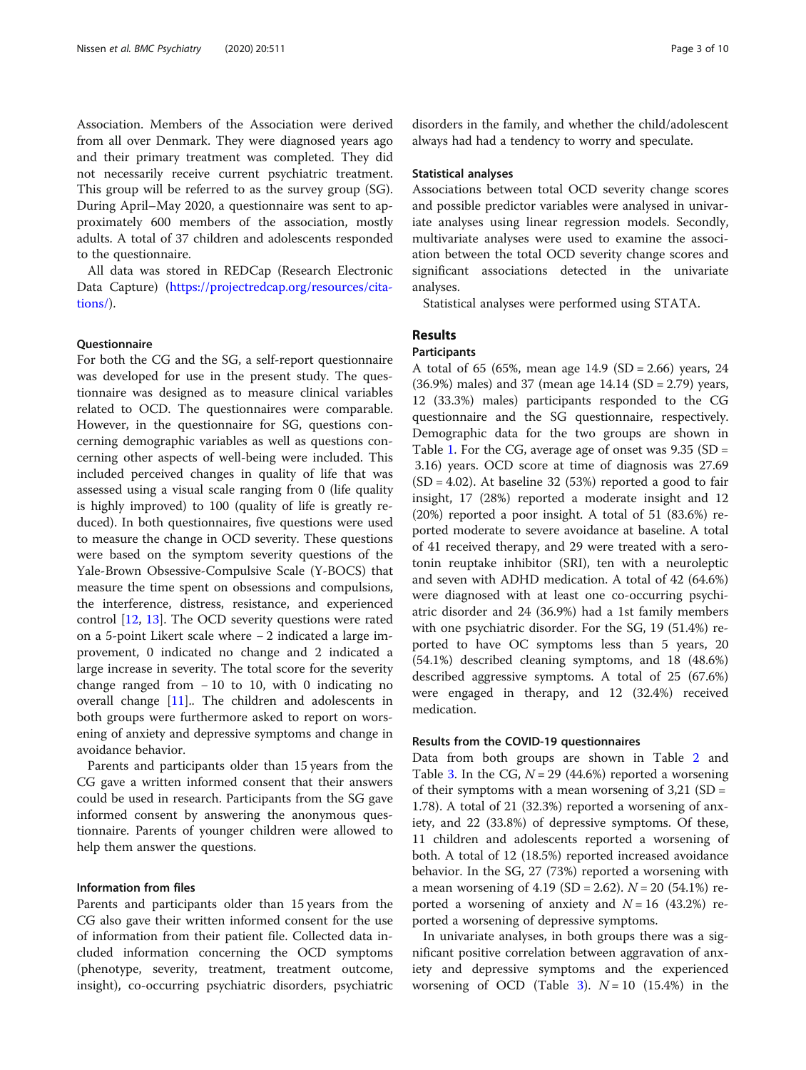Association. Members of the Association were derived from all over Denmark. They were diagnosed years ago and their primary treatment was completed. They did not necessarily receive current psychiatric treatment. This group will be referred to as the survey group (SG). During April–May 2020, a questionnaire was sent to approximately 600 members of the association, mostly adults. A total of 37 children and adolescents responded to the questionnaire.

All data was stored in REDCap (Research Electronic Data Capture) [\(https://projectredcap.org/resources/cita](https://projectredcap.org/resources/citations/)[tions/](https://projectredcap.org/resources/citations/)).

#### **Ouestionnaire**

For both the CG and the SG, a self-report questionnaire was developed for use in the present study. The questionnaire was designed as to measure clinical variables related to OCD. The questionnaires were comparable. However, in the questionnaire for SG, questions concerning demographic variables as well as questions concerning other aspects of well-being were included. This included perceived changes in quality of life that was assessed using a visual scale ranging from 0 (life quality is highly improved) to 100 (quality of life is greatly reduced). In both questionnaires, five questions were used to measure the change in OCD severity. These questions were based on the symptom severity questions of the Yale-Brown Obsessive-Compulsive Scale (Y-BOCS) that measure the time spent on obsessions and compulsions, the interference, distress, resistance, and experienced control [[12](#page-9-0), [13\]](#page-9-0). The OCD severity questions were rated on a 5-point Likert scale where − 2 indicated a large improvement, 0 indicated no change and 2 indicated a large increase in severity. The total score for the severity change ranged from  $-10$  to 10, with 0 indicating no overall change [[11](#page-9-0)].. The children and adolescents in both groups were furthermore asked to report on worsening of anxiety and depressive symptoms and change in avoidance behavior.

Parents and participants older than 15 years from the CG gave a written informed consent that their answers could be used in research. Participants from the SG gave informed consent by answering the anonymous questionnaire. Parents of younger children were allowed to help them answer the questions.

#### Information from files

Parents and participants older than 15 years from the CG also gave their written informed consent for the use of information from their patient file. Collected data included information concerning the OCD symptoms (phenotype, severity, treatment, treatment outcome, insight), co-occurring psychiatric disorders, psychiatric

disorders in the family, and whether the child/adolescent always had had a tendency to worry and speculate.

#### Statistical analyses

Associations between total OCD severity change scores and possible predictor variables were analysed in univariate analyses using linear regression models. Secondly, multivariate analyses were used to examine the association between the total OCD severity change scores and significant associations detected in the univariate analyses.

Statistical analyses were performed using STATA.

## Results

#### **Participants**

A total of 65 (65%, mean age 14.9 (SD = 2.66) years, 24 (36.9%) males) and 37 (mean age 14.14 (SD = 2.79) years, 12 (33.3%) males) participants responded to the CG questionnaire and the SG questionnaire, respectively. Demographic data for the two groups are shown in Table [1.](#page-3-0) For the CG, average age of onset was  $9.35$  (SD = 3.16) years. OCD score at time of diagnosis was 27.69  $(SD = 4.02)$ . At baseline 32 (53%) reported a good to fair insight, 17 (28%) reported a moderate insight and 12 (20%) reported a poor insight. A total of 51 (83.6%) reported moderate to severe avoidance at baseline. A total of 41 received therapy, and 29 were treated with a serotonin reuptake inhibitor (SRI), ten with a neuroleptic and seven with ADHD medication. A total of 42 (64.6%) were diagnosed with at least one co-occurring psychiatric disorder and 24 (36.9%) had a 1st family members with one psychiatric disorder. For the SG, 19 (51.4%) reported to have OC symptoms less than 5 years, 20 (54.1%) described cleaning symptoms, and 18 (48.6%) described aggressive symptoms. A total of 25 (67.6%) were engaged in therapy, and 12 (32.4%) received medication.

#### Results from the COVID-19 questionnaires

Data from both groups are shown in Table [2](#page-4-0) and Table [3.](#page-4-0) In the CG,  $N = 29$  (44.6%) reported a worsening of their symptoms with a mean worsening of  $3,21$  (SD = 1.78). A total of 21 (32.3%) reported a worsening of anxiety, and 22 (33.8%) of depressive symptoms. Of these, 11 children and adolescents reported a worsening of both. A total of 12 (18.5%) reported increased avoidance behavior. In the SG, 27 (73%) reported a worsening with a mean worsening of 4.19 (SD = 2.62).  $N = 20$  (54.1%) reported a worsening of anxiety and  $N = 16$  (43.2%) reported a worsening of depressive symptoms.

In univariate analyses, in both groups there was a significant positive correlation between aggravation of anxiety and depressive symptoms and the experienced worsening of OCD (Table [3](#page-4-0)).  $N = 10$  (15.4%) in the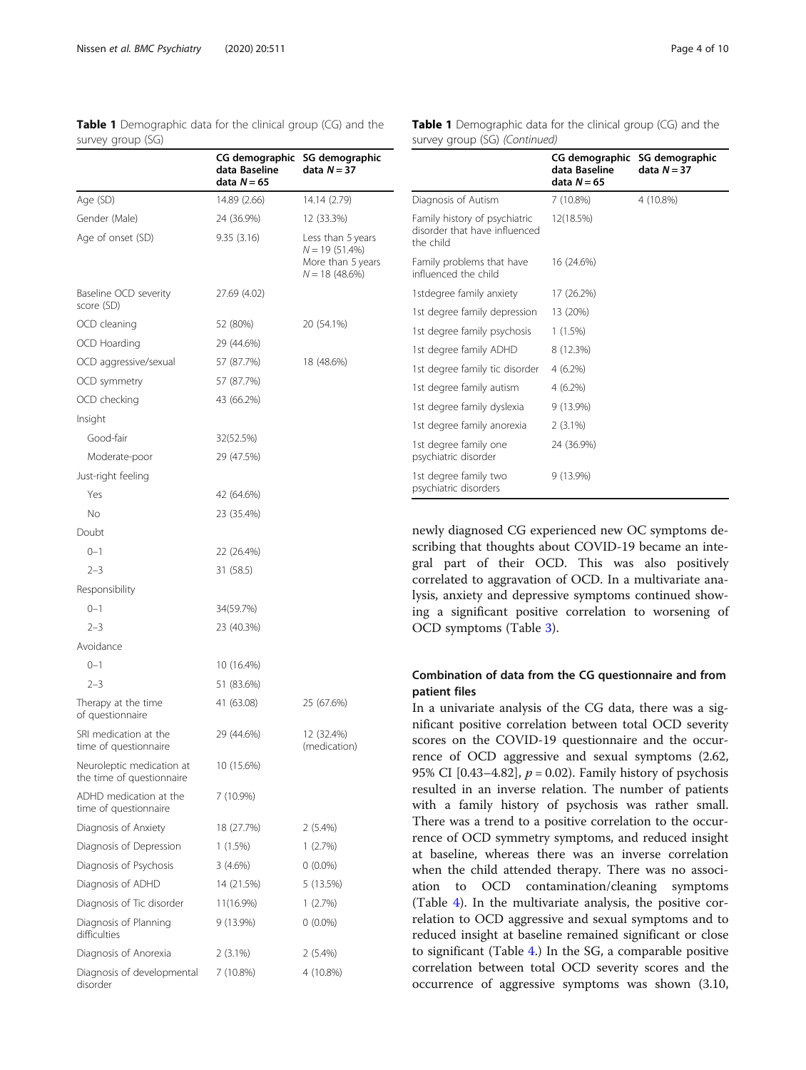| survey group (JU)                                      |                                |                                                                               |
|--------------------------------------------------------|--------------------------------|-------------------------------------------------------------------------------|
|                                                        | data Baseline<br>data $N = 65$ | CG demographic SG demographic<br>data $N = 37$                                |
| Age (SD)                                               | 14.89 (2.66)                   | 14.14 (2.79)                                                                  |
| Gender (Male)                                          | 24 (36.9%)                     | 12 (33.3%)                                                                    |
| Age of onset (SD)                                      | 9.35(3.16)                     | Less than 5 years<br>$N = 19(51.4\%)$<br>More than 5 years<br>$N = 18(48.6%)$ |
| Baseline OCD severity<br>score (SD)                    | 27.69 (4.02)                   |                                                                               |
| OCD cleaning                                           | 52 (80%)                       | 20 (54.1%)                                                                    |
| OCD Hoarding                                           | 29 (44.6%)                     |                                                                               |
| OCD aggressive/sexual                                  | 57 (87.7%)                     | 18 (48.6%)                                                                    |
| OCD symmetry                                           | 57 (87.7%)                     |                                                                               |
| OCD checking<br>Insight                                | 43 (66.2%)                     |                                                                               |
| Good-fair                                              | 32(52.5%)                      |                                                                               |
| Moderate-poor                                          | 29 (47.5%)                     |                                                                               |
| Just-right feeling                                     |                                |                                                                               |
| Yes                                                    | 42 (64.6%)                     |                                                                               |
| No                                                     | 23 (35.4%)                     |                                                                               |
| Doubt                                                  |                                |                                                                               |
| $0 - 1$                                                | 22 (26.4%)                     |                                                                               |
| $2 - 3$                                                | 31 (58.5)                      |                                                                               |
| Responsibility                                         |                                |                                                                               |
| $0 - 1$                                                | 34(59.7%)                      |                                                                               |
| $2 - 3$                                                | 23 (40.3%)                     |                                                                               |
| Avoidance                                              |                                |                                                                               |
| $0 - 1$                                                | 10 (16.4%)                     |                                                                               |
| $2 - 3$                                                | 51 (83.6%)                     |                                                                               |
| Therapy at the time<br>of questionnaire                | 41 (63.08)                     | 25 (67.6%)                                                                    |
| SRI medication at the<br>time of questionnaire         | 29 (44.6%)                     | 12 (32.4%)<br>(medication)                                                    |
| Neuroleptic medication at<br>the time of questionnaire | 10 (15.6%)                     |                                                                               |
| ADHD medication at the<br>time of questionnaire        | 7 (10.9%)                      |                                                                               |
| Diagnosis of Anxiety                                   | 18 (27.7%)                     | $2(5.4\%)$                                                                    |
| Diagnosis of Depression                                | 1 (1.5%)                       | 1(2.7%)                                                                       |
| Diagnosis of Psychosis                                 | 3(4.6%)                        | $0(0.0\%)$                                                                    |
| Diagnosis of ADHD                                      | 14 (21.5%)                     | 5 (13.5%)                                                                     |
| Diagnosis of Tic disorder                              | 11(16.9%)                      | 1(2.7%)                                                                       |
| Diagnosis of Planning<br>difficulties                  | 9 (13.9%)                      | $0(0.0\%)$                                                                    |
| Diagnosis of Anorexia                                  | 2 (3.1%)                       | 2 (5.4%)                                                                      |
| Diagnosis of developmental<br>disorder                 | 7 (10.8%)                      | 4 (10.8%)                                                                     |

<span id="page-3-0"></span>

|                   | <b>Table 1</b> Demographic data for the clinical group (CG) and the |  |  |  |  |  |
|-------------------|---------------------------------------------------------------------|--|--|--|--|--|
| survey group (SG) |                                                                     |  |  |  |  |  |

Table 1 Demographic data for the clinical group (CG) and the survey group (SG) (Continued)

|                                                                             | CG demographic<br>data Baseline<br>data $N = 65$ | SG demographic<br>data $N = 37$ |
|-----------------------------------------------------------------------------|--------------------------------------------------|---------------------------------|
| Diagnosis of Autism                                                         | 7(10.8%)                                         | 4 (10.8%)                       |
| Family history of psychiatric<br>disorder that have influenced<br>the child | 12(18.5%)                                        |                                 |
| Family problems that have<br>influenced the child                           | 16 (24.6%)                                       |                                 |
| 1stdegree family anxiety                                                    | 17 (26.2%)                                       |                                 |
| 1st degree family depression                                                | 13 (20%)                                         |                                 |
| 1st degree family psychosis                                                 | $1(1.5\%)$                                       |                                 |
| 1st degree family ADHD                                                      | 8 (12.3%)                                        |                                 |
| 1st degree family tic disorder                                              | $4(6.2\%)$                                       |                                 |
| 1st degree family autism                                                    | 4 (6.2%)                                         |                                 |
| 1st degree family dyslexia                                                  | 9 (13.9%)                                        |                                 |
| 1st degree family anorexia                                                  | $2(3.1\%)$                                       |                                 |
| 1st degree family one<br>psychiatric disorder                               | 24 (36.9%)                                       |                                 |
| 1st degree family two<br>psychiatric disorders                              | 9 (13.9%)                                        |                                 |

newly diagnosed CG experienced new OC symptoms describing that thoughts about COVID-19 became an integral part of their OCD. This was also positively correlated to aggravation of OCD. In a multivariate analysis, anxiety and depressive symptoms continued showing a significant positive correlation to worsening of OCD symptoms (Table [3\)](#page-4-0).

## Combination of data from the CG questionnaire and from patient files

In a univariate analysis of the CG data, there was a significant positive correlation between total OCD severity scores on the COVID-19 questionnaire and the occurrence of OCD aggressive and sexual symptoms (2.62, 95% CI  $[0.43-4.82]$ ,  $p = 0.02$ ). Family history of psychosis resulted in an inverse relation. The number of patients with a family history of psychosis was rather small. There was a trend to a positive correlation to the occurrence of OCD symmetry symptoms, and reduced insight at baseline, whereas there was an inverse correlation when the child attended therapy. There was no association to OCD contamination/cleaning symptoms (Table [4\)](#page-5-0). In the multivariate analysis, the positive correlation to OCD aggressive and sexual symptoms and to reduced insight at baseline remained significant or close to significant (Table [4](#page-5-0).) In the SG, a comparable positive correlation between total OCD severity scores and the occurrence of aggressive symptoms was shown (3.10,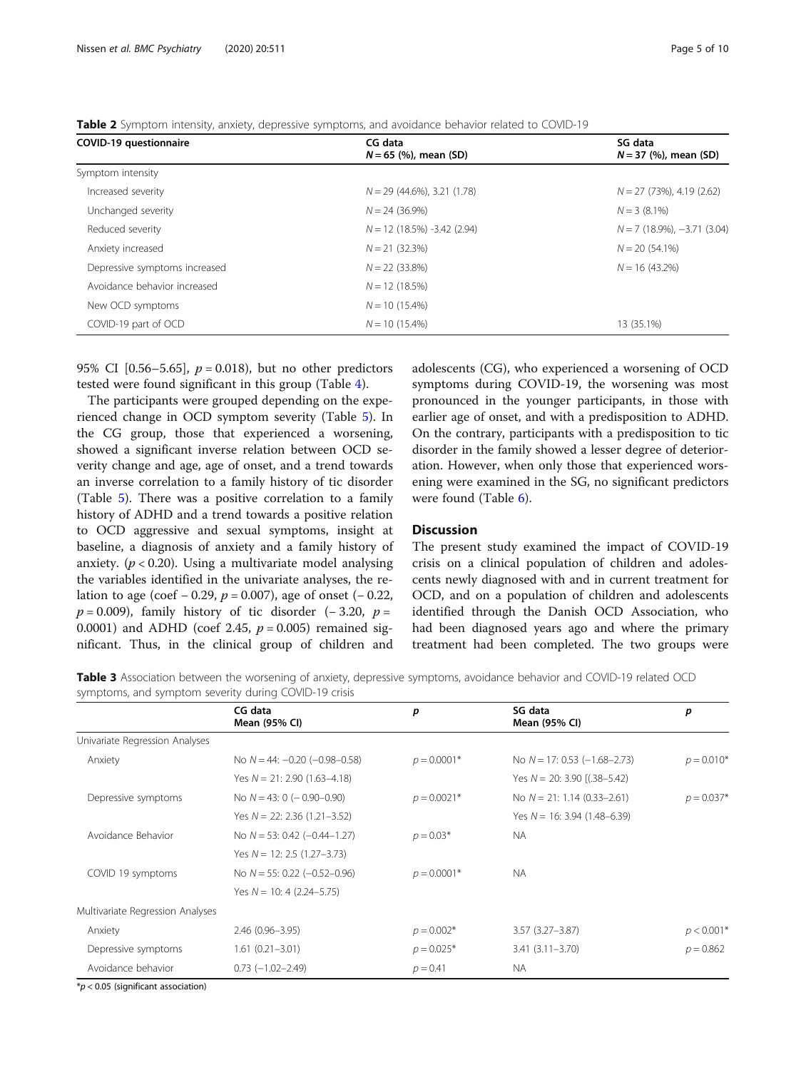| COVID-19 questionnaire        | CG data                       | SG data                         |
|-------------------------------|-------------------------------|---------------------------------|
|                               | $N = 65$ (%), mean (SD)       | $N = 37$ (%), mean (SD)         |
| Symptom intensity             |                               |                                 |
| Increased severity            | $N = 29$ (44.6%), 3.21 (1.78) | $N = 27(73%)$ , 4.19 $(2.62)$   |
| Unchanged severity            | $N = 24(36.9\%)$              | $N = 3(8.1\%)$                  |
| Reduced severity              | $N = 12$ (18.5%) -3.42 (2.94) | $N = 7$ (18.9%), $-3.71$ (3.04) |
| Anxiety increased             | $N = 21$ (32.3%)              | $N = 20(54.1\%)$                |
| Depressive symptoms increased | $N = 22$ (33.8%)              | $N = 16(43.2\%)$                |
| Avoidance behavior increased  | $N = 12(18.5%)$               |                                 |
| New OCD symptoms              | $N = 10(15.4\%)$              |                                 |
| COVID-19 part of OCD          | $N = 10(15.4\%)$              | 13 (35.1%)                      |

<span id="page-4-0"></span>Table 2 Symptom intensity, anxiety, depressive symptoms, and avoidance behavior related to COVID-19

95% CI [0.56–5.65],  $p = 0.018$ ), but no other predictors tested were found significant in this group (Table [4](#page-5-0)).

The participants were grouped depending on the experienced change in OCD symptom severity (Table [5\)](#page-7-0). In the CG group, those that experienced a worsening, showed a significant inverse relation between OCD severity change and age, age of onset, and a trend towards an inverse correlation to a family history of tic disorder (Table [5](#page-7-0)). There was a positive correlation to a family history of ADHD and a trend towards a positive relation to OCD aggressive and sexual symptoms, insight at baseline, a diagnosis of anxiety and a family history of anxiety. ( $p < 0.20$ ). Using a multivariate model analysing the variables identified in the univariate analyses, the relation to age (coef − 0.29,  $p = 0.007$ ), age of onset (− 0.22,  $p = 0.009$ ), family history of tic disorder (−3.20,  $p =$ 0.0001) and ADHD (coef 2.45,  $p = 0.005$ ) remained significant. Thus, in the clinical group of children and adolescents (CG), who experienced a worsening of OCD symptoms during COVID-19, the worsening was most pronounced in the younger participants, in those with earlier age of onset, and with a predisposition to ADHD. On the contrary, participants with a predisposition to tic disorder in the family showed a lesser degree of deterioration. However, when only those that experienced worsening were examined in the SG, no significant predictors were found (Table [6\)](#page-7-0).

## Discussion

The present study examined the impact of COVID-19 crisis on a clinical population of children and adolescents newly diagnosed with and in current treatment for OCD, and on a population of children and adolescents identified through the Danish OCD Association, who had been diagnosed years ago and where the primary treatment had been completed. The two groups were

Table 3 Association between the worsening of anxiety, depressive symptoms, avoidance behavior and COVID-19 related OCD symptoms, and symptom severity during COVID-19 crisis

|                                  | CG data<br>Mean (95% CI)                 | p             | SG data<br>Mean (95% CI)         | p            |
|----------------------------------|------------------------------------------|---------------|----------------------------------|--------------|
| Univariate Regression Analyses   |                                          |               |                                  |              |
| Anxiety                          | No $N = 44$ : $-0.20$ ( $-0.98 - 0.58$ ) | $p = 0.0001*$ | No $N = 17: 0.53 (-1.68 - 2.73)$ | $p = 0.010*$ |
|                                  | Yes $N = 21$ : 2.90 (1.63-4.18)          |               | Yes $N = 20$ : 3.90 [(.38-5.42)  |              |
| Depressive symptoms              | No $N = 43$ : 0 (- 0.90-0.90)            | $p = 0.0021*$ | No $N = 21: 1.14 (0.33 - 2.61)$  | $p = 0.037*$ |
|                                  | Yes $N = 22$ : 2.36 (1.21-3.52)          |               | Yes $N = 16$ : 3.94 (1.48–6.39)  |              |
| Avoidance Behavior               | No $N = 53$ : 0.42 (-0.44-1.27)          | $p = 0.03*$   | <b>NA</b>                        |              |
|                                  | Yes $N = 12$ : 2.5 (1.27-3.73)           |               |                                  |              |
| COVID 19 symptoms                | No $N = 55$ : 0.22 (-0.52-0.96)          | $p = 0.0001*$ | <b>NA</b>                        |              |
|                                  | Yes $N = 10$ : 4 (2.24-5.75)             |               |                                  |              |
| Multivariate Regression Analyses |                                          |               |                                  |              |
| Anxiety                          | $2.46(0.96 - 3.95)$                      | $p = 0.002*$  | $3.57(3.27 - 3.87)$              | $p < 0.001*$ |
| Depressive symptoms              | $1.61(0.21 - 3.01)$                      | $p = 0.025*$  | $3.41(3.11 - 3.70)$              | $p = 0.862$  |
| Avoidance behavior               | $0.73$ $(-1.02 - 2.49)$                  | $p = 0.41$    | NA.                              |              |

 $*p$  < 0.05 (significant association)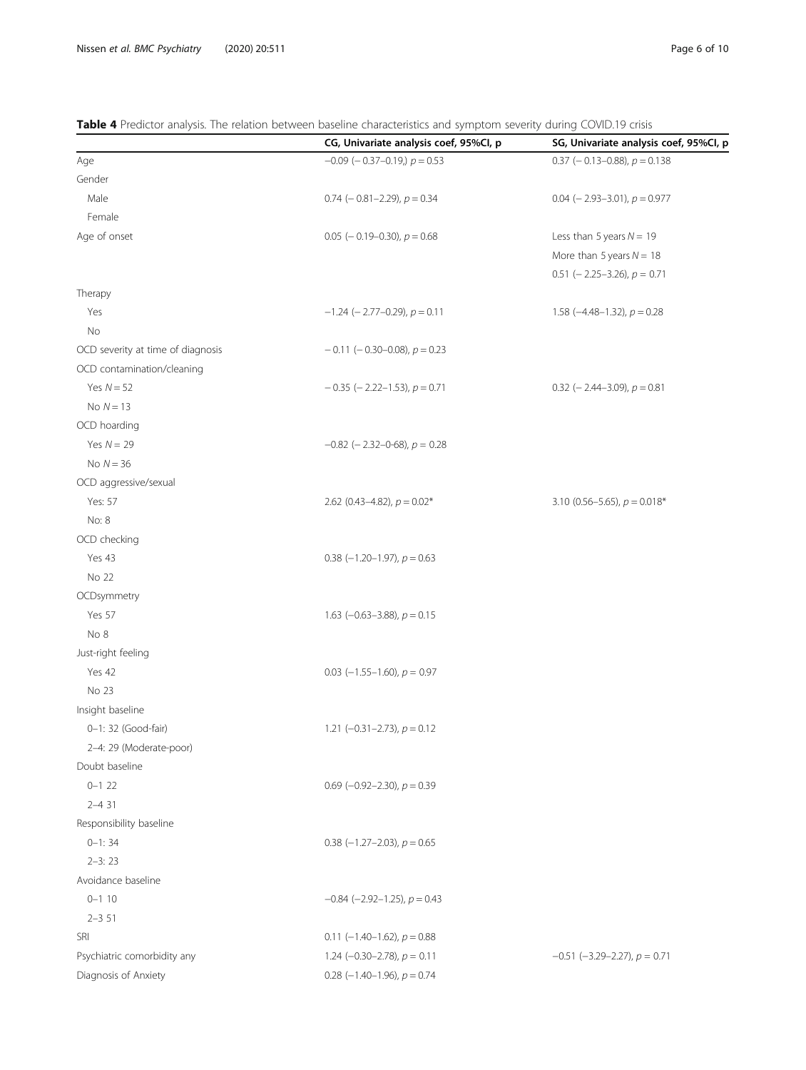## <span id="page-5-0"></span>Table 4 Predictor analysis. The relation between baseline characteristics and symptom severity during COVID.19 crisis

|                                   | CG, Univariate analysis coef, 95%Cl, p    | SG, Univariate analysis coef, 95%Cl, p |
|-----------------------------------|-------------------------------------------|----------------------------------------|
| Age                               | $-0.09$ (-0.37-0.19) $p = 0.53$           | $0.37$ (-0.13-0.88), $p = 0.138$       |
| Gender                            |                                           |                                        |
| Male                              | $0.74$ (- 0.81-2.29), $p = 0.34$          | $0.04$ (- 2.93-3.01), $p = 0.977$      |
| Female                            |                                           |                                        |
| Age of onset                      | $0.05$ (- 0.19-0.30), $p = 0.68$          | Less than 5 years $N = 19$             |
|                                   |                                           | More than 5 years $N = 18$             |
|                                   |                                           | $0.51$ (-2.25-3.26), $p = 0.71$        |
| Therapy                           |                                           |                                        |
| Yes                               | $-1.24$ (-2.77-0.29), $p = 0.11$          | 1.58 $(-4.48-1.32)$ , $p = 0.28$       |
| No                                |                                           |                                        |
| OCD severity at time of diagnosis | $-0.11$ (-0.30-0.08), $p = 0.23$          |                                        |
| OCD contamination/cleaning        |                                           |                                        |
| Yes $N = 52$                      | $-0.35$ ( $-2.22-1.53$ ), $p = 0.71$      | $0.32$ (-2.44-3.09), $p = 0.81$        |
| No $N = 13$                       |                                           |                                        |
| OCD hoarding                      |                                           |                                        |
| Yes $N = 29$                      | $-0.82$ (-2.32-0-68), $p = 0.28$          |                                        |
| No $N = 36$                       |                                           |                                        |
| OCD aggressive/sexual             |                                           |                                        |
| Yes: 57                           | 2.62 (0.43-4.82), $p = 0.02$ <sup>*</sup> | 3.10 (0.56–5.65), $p = 0.018*$         |
| No: 8                             |                                           |                                        |
| OCD checking                      |                                           |                                        |
| Yes 43                            | $0.38$ (-1.20-1.97), $p = 0.63$           |                                        |
| No 22                             |                                           |                                        |
| OCDsymmetry                       |                                           |                                        |
| Yes 57                            | 1.63 $(-0.63-3.88)$ , $p = 0.15$          |                                        |
| No 8                              |                                           |                                        |
| Just-right feeling                |                                           |                                        |
| Yes 42                            | 0.03 $(-1.55-1.60)$ , $p = 0.97$          |                                        |
| No 23                             |                                           |                                        |
| Insight baseline                  |                                           |                                        |
| 0-1:32 (Good-fair)                | 1.21 $(-0.31-2.73)$ , $p = 0.12$          |                                        |
| 2-4: 29 (Moderate-poor)           |                                           |                                        |
| Doubt baseline                    |                                           |                                        |
| $0 - 122$                         | 0.69 $(-0.92-2.30)$ , $p = 0.39$          |                                        |
| $2 - 431$                         |                                           |                                        |
| Responsibility baseline           |                                           |                                        |
| $0 - 1:34$                        | $0.38$ (-1.27-2.03), $p = 0.65$           |                                        |
| $2 - 3:23$                        |                                           |                                        |
| Avoidance baseline                |                                           |                                        |
| $0 - 110$                         | $-0.84$ (-2.92-1.25), $p = 0.43$          |                                        |
| $2 - 351$                         |                                           |                                        |
| SRI                               | $0.11$ (-1.40-1.62), $p = 0.88$           |                                        |
| Psychiatric comorbidity any       | 1.24 $(-0.30-2.78)$ , $p = 0.11$          | $-0.51$ (-3.29-2.27), $p = 0.71$       |
| Diagnosis of Anxiety              | $0.28$ (-1.40-1.96), $p = 0.74$           |                                        |
|                                   |                                           |                                        |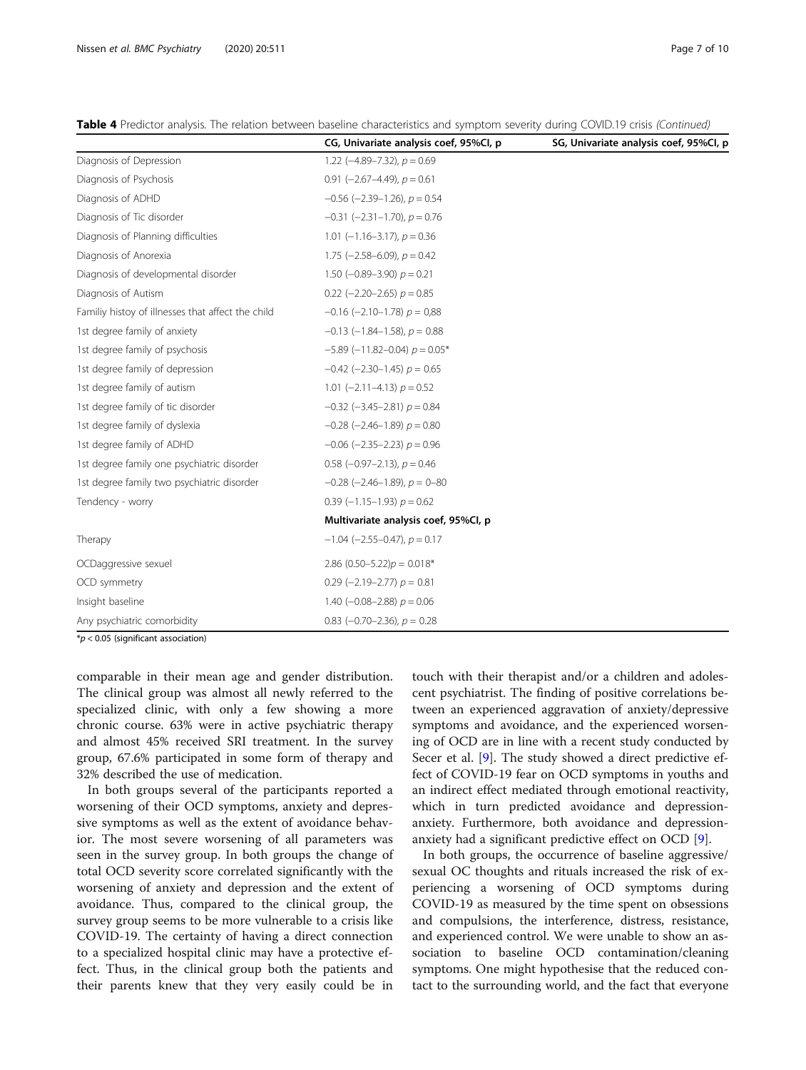|  | Table 4 Predictor analysis. The relation between baseline characteristics and symptom severity during COVID.19 crisis (Continued) |  |  |  |  |
|--|-----------------------------------------------------------------------------------------------------------------------------------|--|--|--|--|
|  |                                                                                                                                   |  |  |  |  |

|                                                   | CG, Univariate analysis coef, 95%Cl, p    | SG, Univariate analysis coef, 95%Cl, p |
|---------------------------------------------------|-------------------------------------------|----------------------------------------|
| Diagnosis of Depression                           | 1.22 $(-4.89 - 7.32)$ , $p = 0.69$        |                                        |
| Diagnosis of Psychosis                            | 0.91 $(-2.67-4.49)$ , $p = 0.61$          |                                        |
| Diagnosis of ADHD                                 | $-0.56$ ( $-2.39-1.26$ ), $p = 0.54$      |                                        |
| Diagnosis of Tic disorder                         | $-0.31$ ( $-2.31-1.70$ ), $p = 0.76$      |                                        |
| Diagnosis of Planning difficulties                | 1.01 $(-1.16-3.17)$ , $p = 0.36$          |                                        |
| Diagnosis of Anorexia                             | 1.75 $(-2.58-6.09)$ , $p = 0.42$          |                                        |
| Diagnosis of developmental disorder               | 1.50 $(-0.89-3.90) p = 0.21$              |                                        |
| Diagnosis of Autism                               | $0.22$ (-2.20-2.65) $p = 0.85$            |                                        |
| Familiy histoy of illnesses that affect the child | $-0.16$ (-2.10-1.78) $p = 0.88$           |                                        |
| 1st degree family of anxiety                      | $-0.13$ ( $-1.84-1.58$ ), $p = 0.88$      |                                        |
| 1st degree family of psychosis                    | $-5.89$ (-11.82-0.04) $p = 0.05*$         |                                        |
| 1st degree family of depression                   | $-0.42$ (-2.30-1.45) $p = 0.65$           |                                        |
| 1st degree family of autism                       | 1.01 $(-2.11-4.13) p = 0.52$              |                                        |
| 1st degree family of tic disorder                 | $-0.32$ ( $-3.45-2.81$ ) $p = 0.84$       |                                        |
| 1st degree family of dyslexia                     | $-0.28$ ( $-2.46-1.89$ ) $p = 0.80$       |                                        |
| 1st degree family of ADHD                         | $-0.06$ ( $-2.35-2.23$ ) $p = 0.96$       |                                        |
| 1st degree family one psychiatric disorder        | 0.58 $(-0.97-2.13)$ , $p = 0.46$          |                                        |
| 1st degree family two psychiatric disorder        | $-0.28$ ( $-2.46-1.89$ ), $p = 0-80$      |                                        |
| Tendency - worry                                  | $0.39$ (-1.15-1.93) $p = 0.62$            |                                        |
|                                                   | Multivariate analysis coef, 95%Cl, p      |                                        |
| Therapy                                           | $-1.04$ (-2.55-0.47), $p = 0.17$          |                                        |
| OCDaggressive sexuel                              | 2.86 (0.50-5.22) $p = 0.018$ <sup>*</sup> |                                        |
| OCD symmetry                                      | $0.29$ (-2.19-2.77) $p = 0.81$            |                                        |
| Insight baseline                                  | 1.40 $(-0.08-2.88) p = 0.06$              |                                        |
| Any psychiatric comorbidity                       | 0.83 $(-0.70-2.36)$ , $p = 0.28$          |                                        |

 $*p$  < 0.05 (significant association)

comparable in their mean age and gender distribution. The clinical group was almost all newly referred to the specialized clinic, with only a few showing a more chronic course. 63% were in active psychiatric therapy and almost 45% received SRI treatment. In the survey group, 67.6% participated in some form of therapy and 32% described the use of medication.

In both groups several of the participants reported a worsening of their OCD symptoms, anxiety and depressive symptoms as well as the extent of avoidance behavior. The most severe worsening of all parameters was seen in the survey group. In both groups the change of total OCD severity score correlated significantly with the worsening of anxiety and depression and the extent of avoidance. Thus, compared to the clinical group, the survey group seems to be more vulnerable to a crisis like COVID-19. The certainty of having a direct connection to a specialized hospital clinic may have a protective effect. Thus, in the clinical group both the patients and their parents knew that they very easily could be in

touch with their therapist and/or a children and adolescent psychiatrist. The finding of positive correlations between an experienced aggravation of anxiety/depressive symptoms and avoidance, and the experienced worsening of OCD are in line with a recent study conducted by Secer et al. [[9\]](#page-9-0). The study showed a direct predictive effect of COVID-19 fear on OCD symptoms in youths and an indirect effect mediated through emotional reactivity, which in turn predicted avoidance and depressionanxiety. Furthermore, both avoidance and depressionanxiety had a significant predictive effect on OCD [[9\]](#page-9-0).

In both groups, the occurrence of baseline aggressive/ sexual OC thoughts and rituals increased the risk of experiencing a worsening of OCD symptoms during COVID-19 as measured by the time spent on obsessions and compulsions, the interference, distress, resistance, and experienced control. We were unable to show an association to baseline OCD contamination/cleaning symptoms. One might hypothesise that the reduced contact to the surrounding world, and the fact that everyone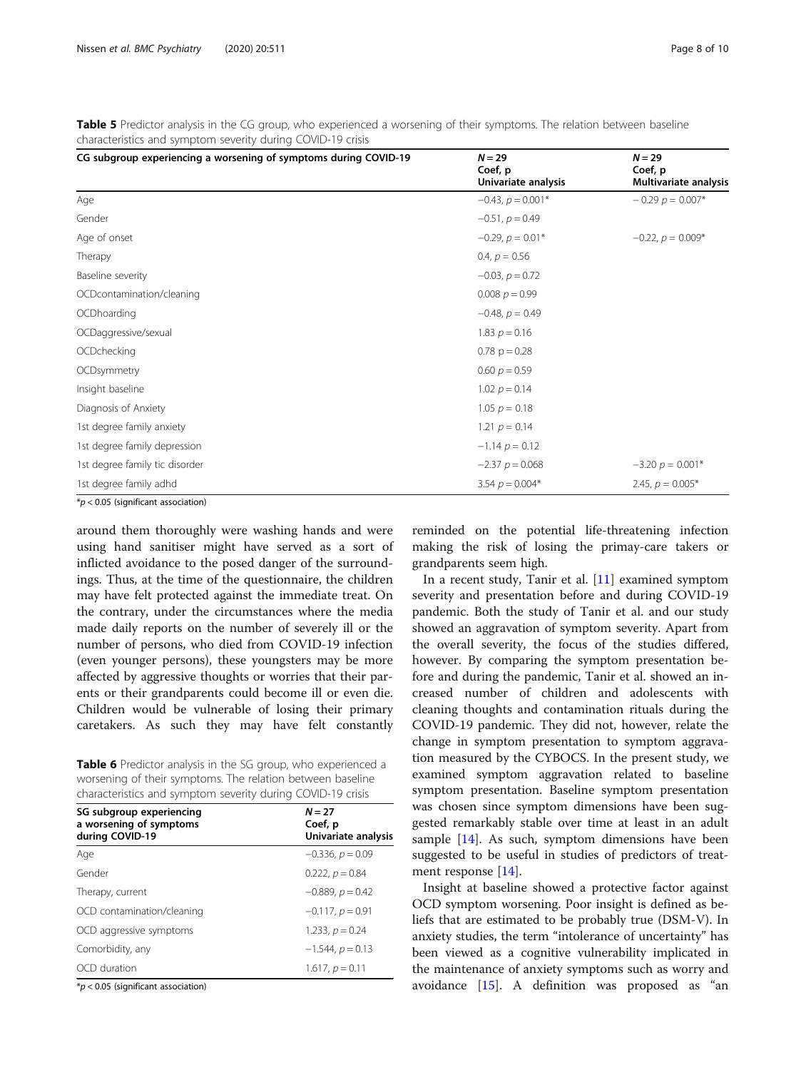| CG subgroup experiencing a worsening of symptoms during COVID-19 | $N = 29$<br>Coef, p<br>Univariate analysis | $N = 29$<br>Coef, p<br>Multivariate analysis |
|------------------------------------------------------------------|--------------------------------------------|----------------------------------------------|
| Age                                                              | $-0.43$ , $p = 0.001*$                     | $-0.29 p = 0.007*$                           |
| Gender                                                           | $-0.51, p = 0.49$                          |                                              |
| Age of onset                                                     | $-0.29$ , $p = 0.01*$                      | $-0.22$ , $p = 0.009*$                       |
| Therapy                                                          | 0.4, $p = 0.56$                            |                                              |
| Baseline severity                                                | $-0.03$ , $p = 0.72$                       |                                              |
| OCDcontamination/cleaning                                        | $0.008 p = 0.99$                           |                                              |
| OCDhoarding                                                      | $-0.48$ , $p = 0.49$                       |                                              |
| OCDaggressive/sexual                                             | 1.83 $p = 0.16$                            |                                              |
| OCDchecking                                                      | $0.78$ p = 0.28                            |                                              |
| OCDsymmetry                                                      | 0.60 $p = 0.59$                            |                                              |
| Insight baseline                                                 | 1.02 $p = 0.14$                            |                                              |
| Diagnosis of Anxiety                                             | 1.05 $p = 0.18$                            |                                              |
| 1st degree family anxiety                                        | 1.21 $p = 0.14$                            |                                              |
| 1st degree family depression                                     | $-1.14 p = 0.12$                           |                                              |
| 1st degree family tic disorder                                   | $-2.37 p = 0.068$                          | $-3.20 p = 0.001*$                           |
| 1st degree family adhd                                           | 3.54 $p = 0.004*$                          | 2.45, $p = 0.005*$                           |
| $*p$ < 0.05 (significant association)                            |                                            |                                              |

<span id="page-7-0"></span>Table 5 Predictor analysis in the CG group, who experienced a worsening of their symptoms. The relation between baseline characteristics and symptom severity during COVID-19 crisis

around them thoroughly were washing hands and were using hand sanitiser might have served as a sort of inflicted avoidance to the posed danger of the surroundings. Thus, at the time of the questionnaire, the children may have felt protected against the immediate treat. On the contrary, under the circumstances where the media made daily reports on the number of severely ill or the number of persons, who died from COVID-19 infection (even younger persons), these youngsters may be more affected by aggressive thoughts or worries that their parents or their grandparents could become ill or even die. Children would be vulnerable of losing their primary caretakers. As such they may have felt constantly

Table 6 Predictor analysis in the SG group, who experienced a worsening of their symptoms. The relation between baseline characteristics and symptom severity during COVID-19 crisis

| SG subgroup experiencing<br>a worsening of symptoms<br>during COVID-19 | $N = 27$<br>Coef, p<br>Univariate analysis |  |  |  |
|------------------------------------------------------------------------|--------------------------------------------|--|--|--|
| Age                                                                    | $-0.336, p = 0.09$                         |  |  |  |
| Gender                                                                 | 0.222, $p = 0.84$                          |  |  |  |
| Therapy, current                                                       | $-0.889$ , $p = 0.42$                      |  |  |  |
| OCD contamination/cleaning                                             | $-0.117, p = 0.91$                         |  |  |  |
| OCD aggressive symptoms                                                | 1.233, $p = 0.24$                          |  |  |  |
| Comorbidity, any                                                       | $-1.544$ , $p = 0.13$                      |  |  |  |
| OCD duration                                                           | 1.617, $p = 0.11$                          |  |  |  |

 $*p$  < 0.05 (significant association)

reminded on the potential life-threatening infection making the risk of losing the primay-care takers or grandparents seem high.

In a recent study, Tanir et al. [\[11](#page-9-0)] examined symptom severity and presentation before and during COVID-19 pandemic. Both the study of Tanir et al. and our study showed an aggravation of symptom severity. Apart from the overall severity, the focus of the studies differed, however. By comparing the symptom presentation before and during the pandemic, Tanir et al. showed an increased number of children and adolescents with cleaning thoughts and contamination rituals during the COVID-19 pandemic. They did not, however, relate the change in symptom presentation to symptom aggravation measured by the CYBOCS. In the present study, we examined symptom aggravation related to baseline symptom presentation. Baseline symptom presentation was chosen since symptom dimensions have been suggested remarkably stable over time at least in an adult sample [\[14\]](#page-9-0). As such, symptom dimensions have been suggested to be useful in studies of predictors of treatment response [[14\]](#page-9-0).

Insight at baseline showed a protective factor against OCD symptom worsening. Poor insight is defined as beliefs that are estimated to be probably true (DSM-V). In anxiety studies, the term "intolerance of uncertainty" has been viewed as a cognitive vulnerability implicated in the maintenance of anxiety symptoms such as worry and avoidance [\[15\]](#page-9-0). A definition was proposed as "an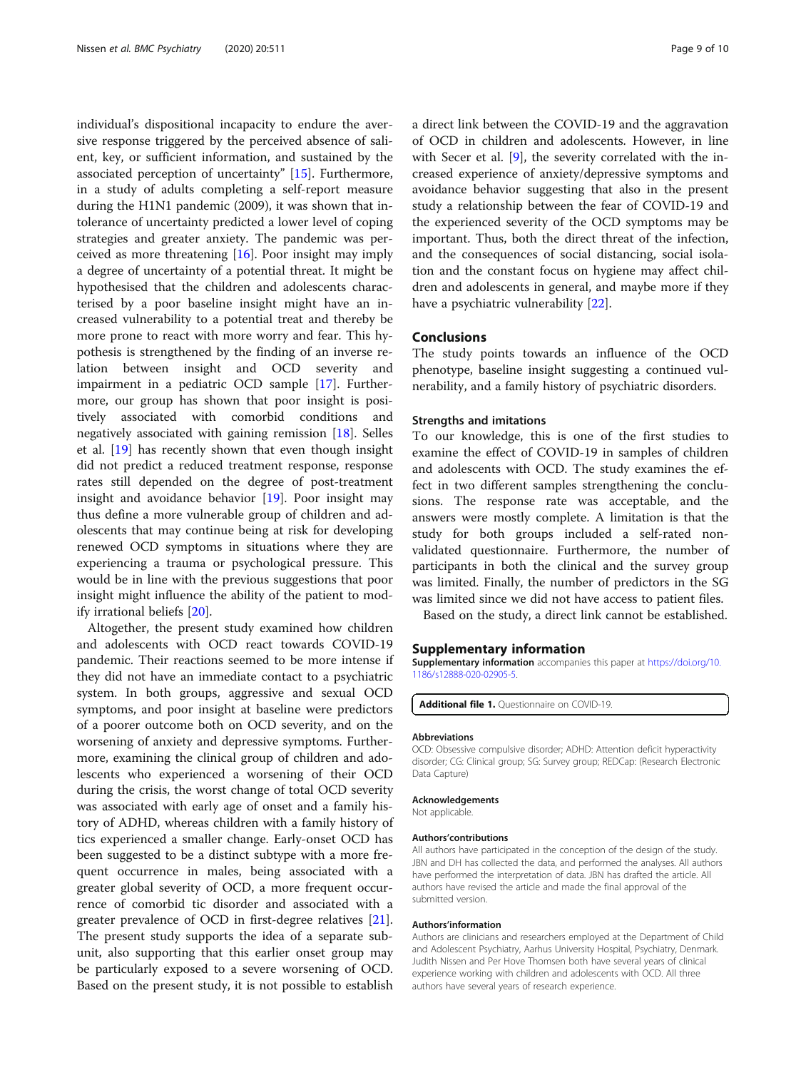individual's dispositional incapacity to endure the aversive response triggered by the perceived absence of salient, key, or sufficient information, and sustained by the associated perception of uncertainty" [\[15](#page-9-0)]. Furthermore, in a study of adults completing a self-report measure during the H1N1 pandemic (2009), it was shown that intolerance of uncertainty predicted a lower level of coping strategies and greater anxiety. The pandemic was perceived as more threatening [\[16\]](#page-9-0). Poor insight may imply a degree of uncertainty of a potential threat. It might be hypothesised that the children and adolescents characterised by a poor baseline insight might have an increased vulnerability to a potential treat and thereby be more prone to react with more worry and fear. This hypothesis is strengthened by the finding of an inverse relation between insight and OCD severity and impairment in a pediatric OCD sample [\[17\]](#page-9-0). Furthermore, our group has shown that poor insight is positively associated with comorbid conditions and negatively associated with gaining remission [[18\]](#page-9-0). Selles et al. [[19\]](#page-9-0) has recently shown that even though insight did not predict a reduced treatment response, response rates still depended on the degree of post-treatment insight and avoidance behavior [\[19\]](#page-9-0). Poor insight may thus define a more vulnerable group of children and adolescents that may continue being at risk for developing renewed OCD symptoms in situations where they are experiencing a trauma or psychological pressure. This would be in line with the previous suggestions that poor insight might influence the ability of the patient to modify irrational beliefs [[20\]](#page-9-0).

Altogether, the present study examined how children and adolescents with OCD react towards COVID-19 pandemic. Their reactions seemed to be more intense if they did not have an immediate contact to a psychiatric system. In both groups, aggressive and sexual OCD symptoms, and poor insight at baseline were predictors of a poorer outcome both on OCD severity, and on the worsening of anxiety and depressive symptoms. Furthermore, examining the clinical group of children and adolescents who experienced a worsening of their OCD during the crisis, the worst change of total OCD severity was associated with early age of onset and a family history of ADHD, whereas children with a family history of tics experienced a smaller change. Early-onset OCD has been suggested to be a distinct subtype with a more frequent occurrence in males, being associated with a greater global severity of OCD, a more frequent occurrence of comorbid tic disorder and associated with a greater prevalence of OCD in first-degree relatives [\[21](#page-9-0)]. The present study supports the idea of a separate subunit, also supporting that this earlier onset group may be particularly exposed to a severe worsening of OCD. Based on the present study, it is not possible to establish a direct link between the COVID-19 and the aggravation of OCD in children and adolescents. However, in line with Secer et al. [\[9\]](#page-9-0), the severity correlated with the increased experience of anxiety/depressive symptoms and avoidance behavior suggesting that also in the present study a relationship between the fear of COVID-19 and the experienced severity of the OCD symptoms may be important. Thus, both the direct threat of the infection, and the consequences of social distancing, social isolation and the constant focus on hygiene may affect children and adolescents in general, and maybe more if they have a psychiatric vulnerability [\[22\]](#page-9-0).

## Conclusions

The study points towards an influence of the OCD phenotype, baseline insight suggesting a continued vulnerability, and a family history of psychiatric disorders.

#### Strengths and imitations

To our knowledge, this is one of the first studies to examine the effect of COVID-19 in samples of children and adolescents with OCD. The study examines the effect in two different samples strengthening the conclusions. The response rate was acceptable, and the answers were mostly complete. A limitation is that the study for both groups included a self-rated nonvalidated questionnaire. Furthermore, the number of participants in both the clinical and the survey group was limited. Finally, the number of predictors in the SG was limited since we did not have access to patient files.

Based on the study, a direct link cannot be established.

#### Supplementary information

Supplementary information accompanies this paper at [https://doi.org/10.](https://doi.org/10.1186/s12888-020-02905-5) [1186/s12888-020-02905-5](https://doi.org/10.1186/s12888-020-02905-5).

Additional file 1. Ouestionnaire on COVID-19

#### Abbreviations

OCD: Obsessive compulsive disorder; ADHD: Attention deficit hyperactivity disorder; CG: Clinical group; SG: Survey group; REDCap: (Research Electronic Data Capture)

#### Acknowledgements

Not applicable.

#### Authors'contributions

All authors have participated in the conception of the design of the study. JBN and DH has collected the data, and performed the analyses. All authors have performed the interpretation of data. JBN has drafted the article. All authors have revised the article and made the final approval of the submitted version.

#### Authors'information

Authors are clinicians and researchers employed at the Department of Child and Adolescent Psychiatry, Aarhus University Hospital, Psychiatry, Denmark. Judith Nissen and Per Hove Thomsen both have several years of clinical experience working with children and adolescents with OCD. All three authors have several years of research experience.